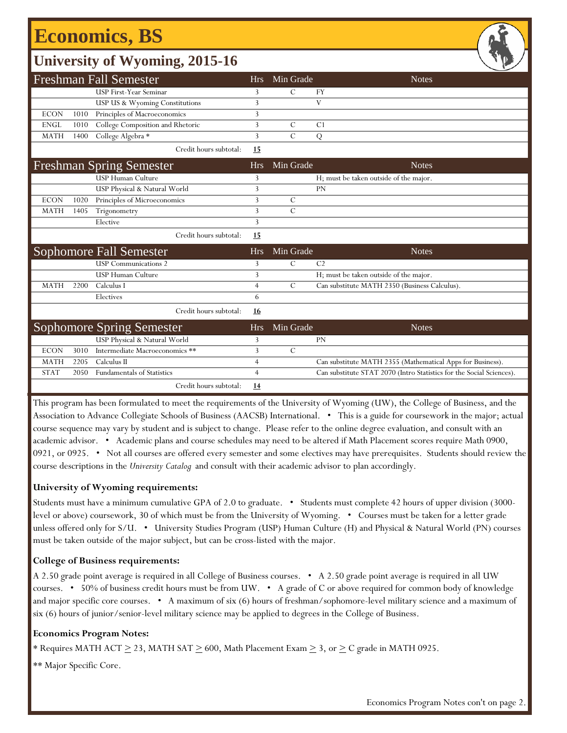## **Economics, BS**

### **University of Wyoming, 2015-16**

|             |      | <b>Freshman Fall Semester</b>     | <b>Hrs</b>     | Min Grade     | <b>Notes</b>                                                         |
|-------------|------|-----------------------------------|----------------|---------------|----------------------------------------------------------------------|
|             |      | <b>USP First-Year Seminar</b>     | 3              | $\mathcal{C}$ | FY                                                                   |
|             |      | USP US & Wyoming Constitutions    | 3              |               | V                                                                    |
| <b>ECON</b> | 1010 | Principles of Macroeconomics      | 3              |               |                                                                      |
| <b>ENGL</b> | 1010 | College Composition and Rhetoric  | 3              | $\mathcal{C}$ | C <sub>1</sub>                                                       |
| <b>MATH</b> | 1400 | College Algebra *                 | 3              | $\mathcal{C}$ | Q                                                                    |
|             |      | Credit hours subtotal:            | <u>15</u>      |               |                                                                      |
|             |      | <b>Freshman Spring Semester</b>   | <b>Hrs</b>     | Min Grade     | <b>Notes</b>                                                         |
|             |      | <b>USP Human Culture</b>          | 3              |               | H; must be taken outside of the major.                               |
|             |      | USP Physical & Natural World      | 3              |               | PN                                                                   |
| <b>ECON</b> | 1020 | Principles of Microeconomics      | 3              | $\mathcal{C}$ |                                                                      |
| <b>MATH</b> | 1405 | Trigonometry                      | 3              | $\mathcal{C}$ |                                                                      |
|             |      | Elective                          | $\overline{3}$ |               |                                                                      |
|             |      |                                   |                |               |                                                                      |
|             |      | Credit hours subtotal:            | 15             |               |                                                                      |
|             |      | <b>Sophomore Fall Semester</b>    | <b>Hrs</b>     | Min Grade     | <b>Notes</b>                                                         |
|             |      | <b>USP</b> Communications 2       | 3              | $\mathcal{C}$ | C <sub>2</sub>                                                       |
|             |      | <b>USP Human Culture</b>          | 3              |               | H; must be taken outside of the major.                               |
| <b>MATH</b> | 2200 | Calculus I                        | $\overline{4}$ | $\mathcal{C}$ | Can substitute MATH 2350 (Business Calculus).                        |
|             |      | Electives                         | 6              |               |                                                                      |
|             |      | Credit hours subtotal:            | 16             |               |                                                                      |
|             |      | Sophomore Spring Semester         | <b>Hrs</b>     | Min Grade     | <b>Notes</b>                                                         |
|             |      | USP Physical & Natural World      | 3              |               | PN                                                                   |
| <b>ECON</b> | 3010 | Intermediate Macroeconomics **    | 3              | $\mathcal{C}$ |                                                                      |
| <b>MATH</b> | 2205 | Calculus II                       | 4              |               | Can substitute MATH 2355 (Mathematical Apps for Business).           |
| <b>STAT</b> | 2050 | <b>Fundamentals of Statistics</b> | $\overline{4}$ |               | Can substitute STAT 2070 (Intro Statistics for the Social Sciences). |

This program has been formulated to meet the requirements of the University of Wyoming (UW), the College of Business, and the Association to Advance Collegiate Schools of Business (AACSB) International. • This is a guide for coursework in the major; actual course sequence may vary by student and is subject to change. Please refer to the online degree evaluation, and consult with an academic advisor. • Academic plans and course schedules may need to be altered if Math Placement scores require Math 0900, 0921, or 0925. • Not all courses are offered every semester and some electives may have prerequisites. Students should review the course descriptions in the *University Catalog* and consult with their academic advisor to plan accordingly.

#### **University of Wyoming requirements:**

Students must have a minimum cumulative GPA of 2.0 to graduate. • Students must complete 42 hours of upper division (3000 level or above) coursework, 30 of which must be from the University of Wyoming. • Courses must be taken for a letter grade unless offered only for S/U. • University Studies Program (USP) Human Culture (H) and Physical & Natural World (PN) courses must be taken outside of the major subject, but can be cross-listed with the major.

#### **College of Business requirements:**

A 2.50 grade point average is required in all College of Business courses. • A 2.50 grade point average is required in all UW courses. • 50% of business credit hours must be from UW. • A grade of C or above required for common body of knowledge and major specific core courses. • A maximum of six (6) hours of freshman/sophomore-level military science and a maximum of six (6) hours of junior/senior-level military science may be applied to degrees in the College of Business.

#### **Economics Program Notes:**

\* Requires MATH ACT  $\geq$  23, MATH SAT  $\geq$  600, Math Placement Exam  $\geq$  3, or  $\geq$  C grade in MATH 0925.

\*\* Major Specific Core.